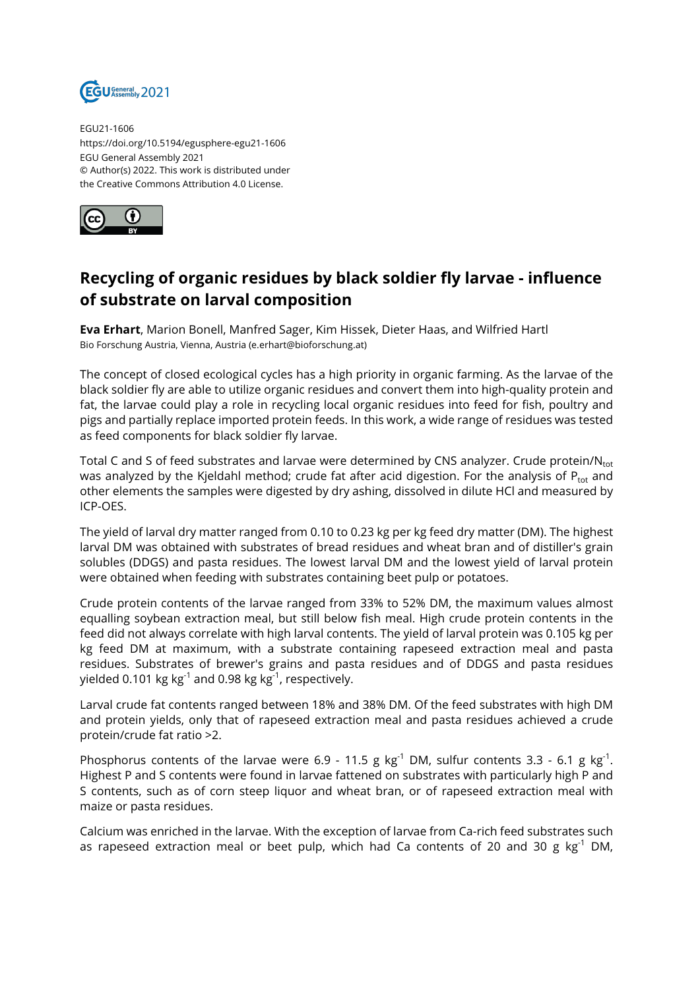

EGU21-1606 https://doi.org/10.5194/egusphere-egu21-1606 EGU General Assembly 2021 © Author(s) 2022. This work is distributed under the Creative Commons Attribution 4.0 License.



## **Recycling of organic residues by black soldier fly larvae - influence of substrate on larval composition**

**Eva Erhart**, Marion Bonell, Manfred Sager, Kim Hissek, Dieter Haas, and Wilfried Hartl Bio Forschung Austria, Vienna, Austria (e.erhart@bioforschung.at)

The concept of closed ecological cycles has a high priority in organic farming. As the larvae of the black soldier fly are able to utilize organic residues and convert them into high-quality protein and fat, the larvae could play a role in recycling local organic residues into feed for fish, poultry and pigs and partially replace imported protein feeds. In this work, a wide range of residues was tested as feed components for black soldier fly larvae.

Total C and S of feed substrates and larvae were determined by CNS analyzer. Crude protein/Ntot was analyzed by the Kjeldahl method; crude fat after acid digestion. For the analysis of  $P_{\text{tot}}$  and other elements the samples were digested by dry ashing, dissolved in dilute HCl and measured by ICP-OES.

The yield of larval dry matter ranged from 0.10 to 0.23 kg per kg feed dry matter (DM). The highest larval DM was obtained with substrates of bread residues and wheat bran and of distiller's grain solubles (DDGS) and pasta residues. The lowest larval DM and the lowest yield of larval protein were obtained when feeding with substrates containing beet pulp or potatoes.

Crude protein contents of the larvae ranged from 33% to 52% DM, the maximum values almost equalling soybean extraction meal, but still below fish meal. High crude protein contents in the feed did not always correlate with high larval contents. The yield of larval protein was 0.105 kg per kg feed DM at maximum, with a substrate containing rapeseed extraction meal and pasta residues. Substrates of brewer's grains and pasta residues and of DDGS and pasta residues yielded 0.101 kg kg<sup>-1</sup> and 0.98 kg kg<sup>-1</sup>, respectively.

Larval crude fat contents ranged between 18% and 38% DM. Of the feed substrates with high DM and protein yields, only that of rapeseed extraction meal and pasta residues achieved a crude protein/crude fat ratio >2.

Phosphorus contents of the larvae were 6.9 - 11.5 g  $\text{kg}^{\text{-1}}$  DM, sulfur contents 3.3 - 6.1 g  $\text{kg}^{\text{-1}}$ . Highest P and S contents were found in larvae fattened on substrates with particularly high P and S contents, such as of corn steep liquor and wheat bran, or of rapeseed extraction meal with maize or pasta residues.

Calcium was enriched in the larvae. With the exception of larvae from Ca-rich feed substrates such as rapeseed extraction meal or beet pulp, which had Ca contents of 20 and 30 g kg<sup>-1</sup> DM,